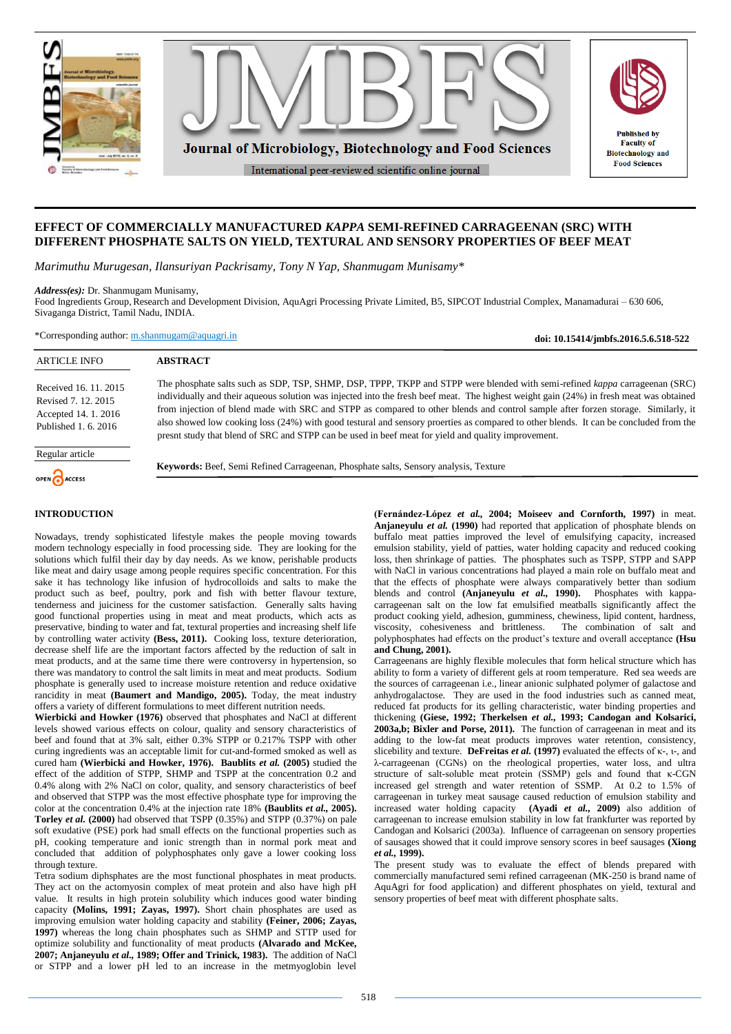

# **EFFECT OF COMMERCIALLY MANUFACTURED** *KAPPA* **SEMI-REFINED CARRAGEENAN (SRC) WITH DIFFERENT PHOSPHATE SALTS ON YIELD, TEXTURAL AND SENSORY PROPERTIES OF BEEF MEAT**

*Marimuthu Murugesan, Ilansuriyan Packrisamy, Tony N Yap, Shanmugam Munisamy\**

*Address(es):* Dr. Shanmugam Munisamy,

Food Ingredients Group, Research and Development Division, AquAgri Processing Private Limited, B5, SIPCOT Industrial Complex, Manamadurai – 630 606, Sivaganga District, Tamil Nadu, INDIA.

\*Corresponding author: [m.shanmugam@aquagri.in](mailto:m.shanmugam@aquagri.in)

**doi: 10.15414/jmbfs.2016.5.6.518-522**

| <b>ARTICLE INFO</b>                                                                          | <b>ABSTRACT</b>                                                                                                                                                                                                                                                                                                                                                                                                                                                                                                                                                                                                                                             |
|----------------------------------------------------------------------------------------------|-------------------------------------------------------------------------------------------------------------------------------------------------------------------------------------------------------------------------------------------------------------------------------------------------------------------------------------------------------------------------------------------------------------------------------------------------------------------------------------------------------------------------------------------------------------------------------------------------------------------------------------------------------------|
| Received 16, 11, 2015<br>Revised 7, 12, 2015<br>Accepted 14. 1. 2016<br>Published 1, 6, 2016 | The phosphate salts such as SDP, TSP, SHMP, DSP, TPPP, TKPP and STPP were blended with semi-refined kappa carrageenan (SRC)<br>individually and their aqueous solution was injected into the fresh beef meat. The highest weight gain (24%) in fresh meat was obtained<br>from injection of blend made with SRC and STPP as compared to other blends and control sample after forzen storage. Similarly, it<br>also showed low cooking loss (24%) with good testural and sensory proerties as compared to other blends. It can be concluded from the<br>presnt study that blend of SRC and STPP can be used in beef meat for yield and quality improvement. |
| Regular article<br>OPEN CACCESS                                                              | <b>Keywords:</b> Beef, Semi Refined Carrageenan, Phosphate salts, Sensory analysis, Texture                                                                                                                                                                                                                                                                                                                                                                                                                                                                                                                                                                 |

## **INTRODUCTION**

Nowadays, trendy sophisticated lifestyle makes the people moving towards modern technology especially in food processing side. They are looking for the solutions which fulfil their day by day needs. As we know, perishable products like meat and dairy usage among people requires specific concentration. For this sake it has technology like infusion of hydrocolloids and salts to make the product such as beef, poultry, pork and fish with better flavour texture, tenderness and juiciness for the customer satisfaction. Generally salts having good functional properties using in meat and meat products, which acts as preservative, binding to water and fat, textural properties and increasing shelf life by controlling water activity **(Bess, 2011).** Cooking loss, texture deterioration, decrease shelf life are the important factors affected by the reduction of salt in meat products, and at the same time there were controversy in hypertension, so there was mandatory to control the salt limits in meat and meat products. Sodium phosphate is generally used to increase moisture retention and reduce oxidative rancidity in meat **(Baumert and Mandigo, 2005).** Today, the meat industry offers a variety of different formulations to meet different nutrition needs.

**Wierbicki and Howker (1976)** observed that phosphates and NaCl at different levels showed various effects on colour, quality and sensory characteristics of beef and found that at 3% salt, either 0.3% STPP or 0.217% TSPP with other curing ingredients was an acceptable limit for cut-and-formed smoked as well as cured ham **(Wierbicki and Howker, 1976). Baublits** *et al.* **(2005)** studied the effect of the addition of STPP, SHMP and TSPP at the concentration 0.2 and 0.4% along with 2% NaCl on color, quality, and sensory characteristics of beef and observed that STPP was the most effective phosphate type for improving the color at the concentration 0.4% at the injection rate 18% **(Baublits** *et al.,* **2005). Torley** *et al.* **(2000)** had observed that TSPP (0.35%) and STPP (0.37%) on pale soft exudative (PSE) pork had small effects on the functional properties such as pH, cooking temperature and ionic strength than in normal pork meat and concluded that addition of polyphosphates only gave a lower cooking loss through texture.

Tetra sodium diphsphates are the most functional phosphates in meat products. They act on the actomyosin complex of meat protein and also have high pH value. It results in high protein solubility which induces good water binding capacity **(Molins, 1991; Zayas, 1997).** Short chain phosphates are used as improving emulsion water holding capacity and stability **(Feiner, 2006; Zayas, 1997)** whereas the long chain phosphates such as SHMP and STTP used for optimize solubility and functionality of meat products **(Alvarado and McKee, 2007; Anjaneyulu** *et al.,* **1989; Offer and Trinick, 1983).** The addition of NaCl or STPP and a lower pH led to an increase in the metmyoglobin level

**(Fernández-López** *et al.,* **2004; Moiseev and Cornforth, 1997)** in meat. **Anjaneyulu** *et al.* **(1990)** had reported that application of phosphate blends on buffalo meat patties improved the level of emulsifying capacity, increased emulsion stability, yield of patties, water holding capacity and reduced cooking loss, then shrinkage of patties. The phosphates such as TSPP, STPP and SAPP with NaCl in various concentrations had played a main role on buffalo meat and that the effects of phosphate were always comparatively better than sodium blends and control **(Anjaneyulu** *et al.,* **1990).** Phosphates with kappacarrageenan salt on the low fat emulsified meatballs significantly affect the product cooking yield, adhesion, gumminess, chewiness, lipid content, hardness, viscosity, cohesiveness and brittleness. The combination of salt and polyphosphates had effects on the product's texture and overall acceptance **(Hsu and Chung, 2001).**

Carrageenans are highly flexible molecules that form helical structure which has ability to form a variety of different gels at room temperature. Red sea weeds are the sources of carrageenan i.e., linear anionic sulphated polymer of galactose and anhydrogalactose. They are used in the food industries such as canned meat, reduced fat products for its gelling characteristic, water binding properties and thickening **(Giese, 1992; Therkelsen** *et al.,* **1993; Candogan and Kolsarici, 2003a,b; Bixler and Porse, 2011).** The function of carrageenan in meat and its adding to the low-fat meat products improves water retention, consistency, slicebility and texture. **DeFreitas** *et al.* **(1997)** evaluated the effects of κ-, ι-, and λ-carrageenan (CGNs) on the rheological properties, water loss, and ultra structure of salt-soluble meat protein (SSMP) gels and found that κ-CGN increased gel strength and water retention of SSMP. At 0.2 to 1.5% of carrageenan in turkey meat sausage caused reduction of emulsion stability and increased water holding capacity **(Ayadi** *et al.,* **2009)** also addition of carrageenan to increase emulsion stability in low fat frankfurter was reported by Candogan and Kolsarici (2003a). Influence of carrageenan on sensory properties of sausages showed that it could improve sensory scores in beef sausages **(Xiong**  *et al.,* **1999).**

The present study was to evaluate the effect of blends prepared with commercially manufactured semi refined carrageenan (MK-250 is brand name of AquAgri for food application) and different phosphates on yield, textural and sensory properties of beef meat with different phosphate salts.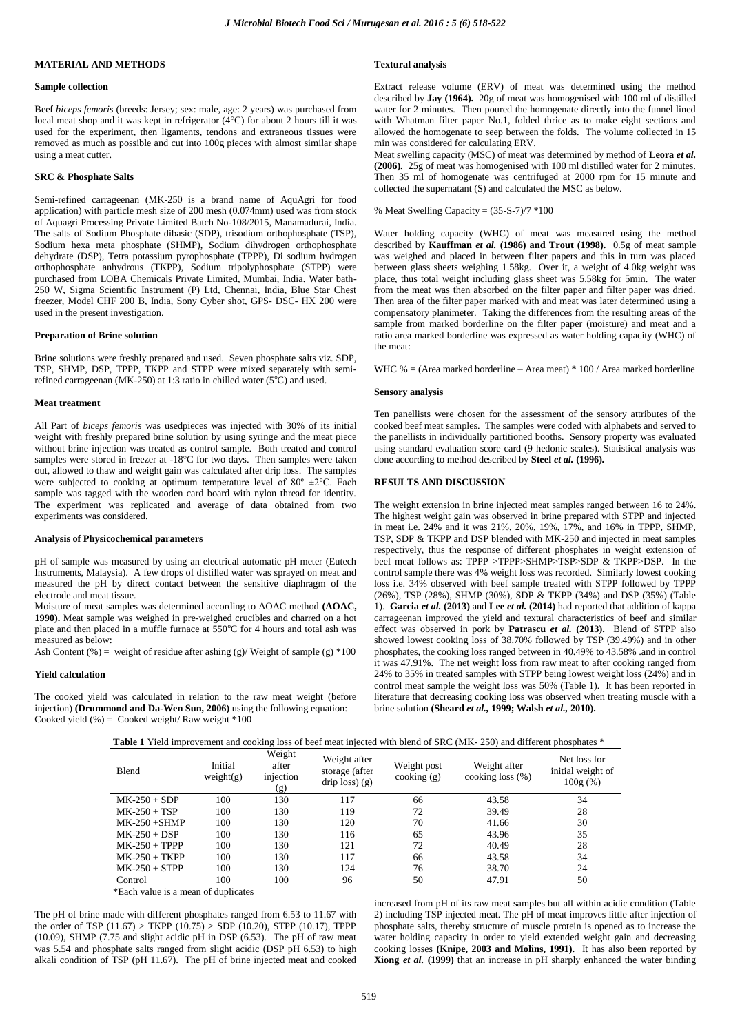## **MATERIAL AND METHODS**

## **Sample collection**

Beef *biceps femoris* (breeds: Jersey; sex: male, age: 2 years) was purchased from local meat shop and it was kept in refrigerator  $(4^{\circ}C)$  for about 2 hours till it was used for the experiment, then ligaments, tendons and extraneous tissues were removed as much as possible and cut into 100g pieces with almost similar shape using a meat cutter.

#### **SRC & Phosphate Salts**

Semi-refined carrageenan (MK-250 is a brand name of AquAgri for food application) with particle mesh size of 200 mesh (0.074mm) used was from stock of Aquagri Processing Private Limited Batch No-108/2015, Manamadurai, India. The salts of Sodium Phosphate dibasic (SDP), trisodium orthophosphate (TSP), Sodium hexa meta phosphate (SHMP), Sodium dihydrogen orthophosphate dehydrate (DSP), Tetra potassium pyrophosphate (TPPP), Di sodium hydrogen orthophosphate anhydrous (TKPP), Sodium tripolyphosphate (STPP) were purchased from LOBA Chemicals Private Limited, Mumbai, India. Water bath-250 W, Sigma Scientific Instrument (P) Ltd, Chennai, India, Blue Star Chest freezer, Model CHF 200 B, India, Sony Cyber shot, GPS- DSC- HX 200 were used in the present investigation.

#### **Preparation of Brine solution**

Brine solutions were freshly prepared and used. Seven phosphate salts viz. SDP, TSP, SHMP, DSP, TPPP, TKPP and STPP were mixed separately with semirefined carrageenan (MK-250) at 1:3 ratio in chilled water ( $5^{\circ}$ C) and used.

#### **Meat treatment**

All Part of *biceps femoris* was usedpieces was injected with 30% of its initial weight with freshly prepared brine solution by using syringe and the meat piece without brine injection was treated as control sample. Both treated and control samples were stored in freezer at -18°C for two days. Then samples were taken out, allowed to thaw and weight gain was calculated after drip loss. The samples were subjected to cooking at optimum temperature level of  $80^\circ \pm 2^\circ \text{C}$ . Each sample was tagged with the wooden card board with nylon thread for identity. The experiment was replicated and average of data obtained from two experiments was considered.

## **Analysis of Physicochemical parameters**

pH of sample was measured by using an electrical automatic pH meter (Eutech Instruments, Malaysia). A few drops of distilled water was sprayed on meat and measured the pH by direct contact between the sensitive diaphragm of the electrode and meat tissue.

Moisture of meat samples was determined according to AOAC method **(AOAC, 1990).** Meat sample was weighed in pre-weighed crucibles and charred on a hot plate and then placed in a muffle furnace at  $550^{\circ}$ C for 4 hours and total ash was measured as below:

Ash Content (%) = weight of residue after ashing (g)/ Weight of sample (g)  $*100$ 

#### **Yield calculation**

The cooked yield was calculated in relation to the raw meat weight (before injection) **(Drummond and Da-Wen Sun, 2006)** using the following equation: Cooked yield  $%$  = Cooked weight/Raw weight \*100

## **Textural analysis**

Extract release volume (ERV) of meat was determined using the method described by **Jay (1964).** 20g of meat was homogenised with 100 ml of distilled water for 2 minutes. Then poured the homogenate directly into the funnel lined with Whatman filter paper No.1, folded thrice as to make eight sections and allowed the homogenate to seep between the folds. The volume collected in 15 min was considered for calculating ERV.

Meat swelling capacity (MSC) of meat was determined by method of **Leora** *et al.* **(2006).** 25g of meat was homogenised with 100 ml distilled water for 2 minutes. Then 35 ml of homogenate was centrifuged at 2000 rpm for 15 minute and collected the supernatant (S) and calculated the MSC as below.

## % Meat Swelling Capacity =  $(35-S-7)/7$  \*100

Water holding capacity (WHC) of meat was measured using the method described by **Kauffman** *et al.* **(1986) and Trout (1998).** 0.5g of meat sample was weighed and placed in between filter papers and this in turn was placed between glass sheets weighing 1.58kg. Over it, a weight of 4.0kg weight was place, thus total weight including glass sheet was 5.58kg for 5min. The water from the meat was then absorbed on the filter paper and filter paper was dried. Then area of the filter paper marked with and meat was later determined using a compensatory planimeter. Taking the differences from the resulting areas of the sample from marked borderline on the filter paper (moisture) and meat and a ratio area marked borderline was expressed as water holding capacity (WHC) of the meat:

WHC  $% = (Area marked borderline – Area meat) * 100 / Area marked borderline – 100 / Area of the total number of 100 / Area.$ 

#### **Sensory analysis**

Ten panellists were chosen for the assessment of the sensory attributes of the cooked beef meat samples. The samples were coded with alphabets and served to the panellists in individually partitioned booths. Sensory property was evaluated using standard evaluation score card (9 hedonic scales). Statistical analysis was done according to method described by **Steel** *et al.* **(1996)***.*

#### **RESULTS AND DISCUSSION**

The weight extension in brine injected meat samples ranged between 16 to 24%. The highest weight gain was observed in brine prepared with STPP and injected in meat i.e. 24% and it was 21%, 20%, 19%, 17%, and 16% in TPPP, SHMP, TSP, SDP & TKPP and DSP blended with MK-250 and injected in meat samples respectively, thus the response of different phosphates in weight extension of beef meat follows as: TPPP >TPPP>SHMP>TSP>SDP & TKPP>DSP. In the control sample there was 4% weight loss was recorded. Similarly lowest cooking loss i.e. 34% observed with beef sample treated with STPP followed by TPPP (26%), TSP (28%), SHMP (30%), SDP & TKPP (34%) and DSP (35%) (Table 1). **Garcia** *et al.* **(2013)** and **Lee** *et al.* **(2014)** had reported that addition of kappa carrageenan improved the yield and textural characteristics of beef and similar effect was observed in pork by **Patrascu** *et al.* **(2013).** Blend of STPP also showed lowest cooking loss of 38.70% followed by TSP (39.49%) and in other phosphates, the cooking loss ranged between in 40.49% to 43.58% .and in control it was 47.91%. The net weight loss from raw meat to after cooking ranged from 24% to 35% in treated samples with STPP being lowest weight loss (24%) and in control meat sample the weight loss was 50% (Table 1). It has been reported in literature that decreasing cooking loss was observed when treating muscle with a brine solution **(Sheard** *et al.,* **1999; Walsh** *et al.,* **2010).**

| <b>Table 1</b> Yield improvement and cooking loss of beef meat injected with blend of SRC (MK-250) and different phosphates * |  |  |
|-------------------------------------------------------------------------------------------------------------------------------|--|--|
|                                                                                                                               |  |  |

| Blend           | Initial<br>weight(g) | Weight<br>after<br>injection<br>(g) | Weight after<br>storage (after<br>$drip$ loss) $(g)$ | Weight post<br>$\cosh($ g $)$ | Weight after<br>cooking loss $(\%)$ | Net loss for<br>initial weight of<br>100g(%) |
|-----------------|----------------------|-------------------------------------|------------------------------------------------------|-------------------------------|-------------------------------------|----------------------------------------------|
| $MK-250 + SDP$  | 100                  | 130                                 | 117                                                  | 66                            | 43.58                               | 34                                           |
| $MK-250 + TSP$  | 100                  | 130                                 | 119                                                  | 72                            | 39.49                               | 28                                           |
| $MK-250 + SHMP$ | 100                  | 130                                 | 120                                                  | 70                            | 41.66                               | 30                                           |
| $MK-250 + DSP$  | 100                  | 130                                 | 116                                                  | 65                            | 43.96                               | 35                                           |
| $MK-250 + TPPP$ | 100                  | 130                                 | 121                                                  | 72                            | 40.49                               | 28                                           |
| $MK-250 + TKPP$ | 100                  | 130                                 | 117                                                  | 66                            | 43.58                               | 34                                           |
| $MK-250 + STPP$ | 100                  | 130                                 | 124                                                  | 76                            | 38.70                               | 24                                           |
| Control         | 100                  | 100                                 | 96                                                   | 50                            | 47.91                               | 50                                           |

\*Each value is a mean of duplicates

The pH of brine made with different phosphates ranged from 6.53 to 11.67 with the order of TSP (11.67) > TKPP (10.75) > SDP (10.20), STPP (10.17), TPPP (10.09), SHMP (7.75 and slight acidic pH in DSP  $(6.53)$ . The pH of raw meat was 5.54 and phosphate salts ranged from slight acidic (DSP pH 6.53) to high alkali condition of TSP (pH 11.67). The pH of brine injected meat and cooked

increased from pH of its raw meat samples but all within acidic condition (Table 2) including TSP injected meat. The pH of meat improves little after injection of phosphate salts, thereby structure of muscle protein is opened as to increase the water holding capacity in order to yield extended weight gain and decreasing cooking losses **(Knipe, 2003 and Molins, 1991).** It has also been reported by **Xiong** *et al.* **(1999)** that an increase in pH sharply enhanced the water binding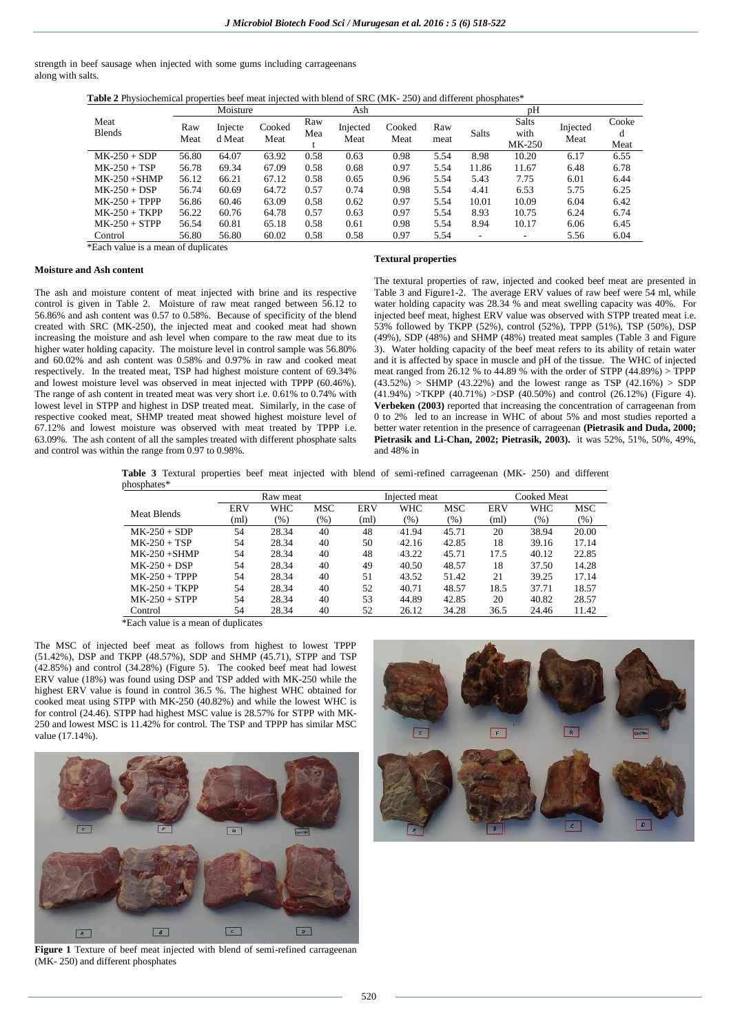strength in beef sausage when injected with some gums including carrageenans along with salts.

**Table 2** Physiochemical properties beef meat injected with blend of SRC (MK- 250) and different phosphates\*

|                       | Moisture    |                   |                | Ash        |                  |                | pΗ          |              |                                |                  |               |
|-----------------------|-------------|-------------------|----------------|------------|------------------|----------------|-------------|--------------|--------------------------------|------------------|---------------|
| Meat<br><b>Blends</b> | Raw<br>Meat | Injecte<br>d Meat | Cooked<br>Meat | Raw<br>Mea | Injected<br>Meat | Cooked<br>Meat | Raw<br>meat | <b>Salts</b> | <b>Salts</b><br>with<br>MK-250 | Injected<br>Meat | Cooke<br>Meat |
| $MK-250 + SDP$        | 56.80       | 64.07             | 63.92          | 0.58       | 0.63             | 0.98           | 5.54        | 8.98         | 10.20                          | 6.17             | 6.55          |
| $MK-250 + TSP$        | 56.78       | 69.34             | 67.09          | 0.58       | 0.68             | 0.97           | 5.54        | 11.86        | 11.67                          | 6.48             | 6.78          |
| $MK-250 + SHMP$       | 56.12       | 66.21             | 67.12          | 0.58       | 0.65             | 0.96           | 5.54        | 5.43         | 7.75                           | 6.01             | 6.44          |
| $MK-250 + DSP$        | 56.74       | 60.69             | 64.72          | 0.57       | 0.74             | 0.98           | 5.54        | 4.41         | 6.53                           | 5.75             | 6.25          |
| $MK-250 + TPPP$       | 56.86       | 60.46             | 63.09          | 0.58       | 0.62             | 0.97           | 5.54        | 10.01        | 10.09                          | 6.04             | 6.42          |
| $MK-250 + TKPP$       | 56.22       | 60.76             | 64.78          | 0.57       | 0.63             | 0.97           | 5.54        | 8.93         | 10.75                          | 6.24             | 6.74          |
| $MK-250 + STPP$       | 56.54       | 60.81             | 65.18          | 0.58       | 0.61             | 0.98           | 5.54        | 8.94         | 10.17                          | 6.06             | 6.45          |
| Control               | 56.80       | 56.80             | 60.02          | 0.58       | 0.58             | 0.97           | 5.54        | ۰            |                                | 5.56             | 6.04          |

\*Each value is a mean of duplicates

### **Moisture and Ash content**

The ash and moisture content of meat injected with brine and its respective control is given in Table 2. Moisture of raw meat ranged between 56.12 to 56.86% and ash content was 0.57 to 0.58%. Because of specificity of the blend created with SRC (MK-250), the injected meat and cooked meat had shown increasing the moisture and ash level when compare to the raw meat due to its higher water holding capacity. The moisture level in control sample was 56.80% and 60.02% and ash content was 0.58% and 0.97% in raw and cooked meat respectively. In the treated meat, TSP had highest moisture content of 69.34% and lowest moisture level was observed in meat injected with TPPP (60.46%). The range of ash content in treated meat was very short i.e. 0.61% to 0.74% with lowest level in STPP and highest in DSP treated meat. Similarly, in the case of respective cooked meat, SHMP treated meat showed highest moisture level of 67.12% and lowest moisture was observed with meat treated by TPPP i.e. 63.09%. The ash content of all the samples treated with different phosphate salts and control was within the range from 0.97 to 0.98%.

### **Textural properties**

The textural properties of raw, injected and cooked beef meat are presented in Table 3 and Figure1-2. The average ERV values of raw beef were 54 ml, while water holding capacity was 28.34 % and meat swelling capacity was 40%. For injected beef meat, highest ERV value was observed with STPP treated meat i.e. 53% followed by TKPP (52%), control (52%), TPPP (51%), TSP (50%), DSP (49%), SDP (48%) and SHMP (48%) treated meat samples (Table 3 and Figure 3). Water holding capacity of the beef meat refers to its ability of retain water and it is affected by space in muscle and pH of the tissue. The WHC of injected meat ranged from  $26.12$  % to 44.89 % with the order of STPP (44.89%) > TPPP  $(43.52\%)$  > SHMP (43.22%) and the lowest range as TSP (42.16%) > SDP  $(41.94%)$  >TKPP  $(40.71%)$  >DSP  $(40.50%)$  and control  $(26.12%)$  (Figure 4). **Verbeken (2003)** reported that increasing the concentration of carrageenan from 0 to 2% led to an increase in WHC of about 5% and most studies reported a better water retention in the presence of carrageenan **(Pietrasik and Duda, 2000; Pietrasik and Li-Chan, 2002; Pietrasik, 2003).** it was 52%, 51%, 50%, 49%, and 48% in

**Table 3** Textural properties beef meat injected with blend of semi-refined carrageenan (MK- 250) and different phosphates\*

|            |        |         |            |         |         | Cooked Meat   |       |         |
|------------|--------|---------|------------|---------|---------|---------------|-------|---------|
| <b>ERV</b> | WHC    | MSC     | <b>ERV</b> | WHC     | MSC     | <b>ERV</b>    | WHC   | MSC     |
| (ml)       | $(\%)$ | $(\% )$ | (ml)       | $(\% )$ | $(\% )$ | (ml)          | (% )  | $(\% )$ |
| 54         | 28.34  | 40      | 48         | 41.94   | 45.71   | 20            | 38.94 | 20.00   |
| 54         | 28.34  | 40      | 50         | 42.16   | 42.85   | 18            | 39.16 | 17.14   |
| 54         | 28.34  | 40      | 48         | 43.22   | 45.71   | 17.5          | 40.12 | 22.85   |
| 54         | 28.34  | 40      | 49         | 40.50   | 48.57   | 18            | 37.50 | 14.28   |
| 54         | 28.34  | 40      | 51         | 43.52   | 51.42   | 21            | 39.25 | 17.14   |
| 54         | 28.34  | 40      | 52         | 40.71   | 48.57   | 18.5          | 37.71 | 18.57   |
| 54         | 28.34  | 40      | 53         | 44.89   | 42.85   | 20            | 40.82 | 28.57   |
| 54         | 28.34  | 40      | 52         | 26.12   | 34.28   | 36.5          | 24.46 | 11.42   |
|            |        |         | Raw meat   |         |         | Injected meat |       |         |

\*Each value is a mean of duplicates

The MSC of injected beef meat as follows from highest to lowest TPPP (51.42%), DSP and TKPP (48.57%), SDP and SHMP (45.71), STPP and TSP (42.85%) and control (34.28%) (Figure 5). The cooked beef meat had lowest ERV value (18%) was found using DSP and TSP added with MK-250 while the highest ERV value is found in control 36.5 %. The highest WHC obtained for cooked meat using STPP with MK-250 (40.82%) and while the lowest WHC is for control (24.46). STPP had highest MSC value is 28.57% for STPP with MK-250 and lowest MSC is 11.42% for control. The TSP and TPPP has similar MSC value (17.14%).



**Figure 1** Texture of beef meat injected with blend of semi-refined carrageenan (MK- 250) and different phosphates

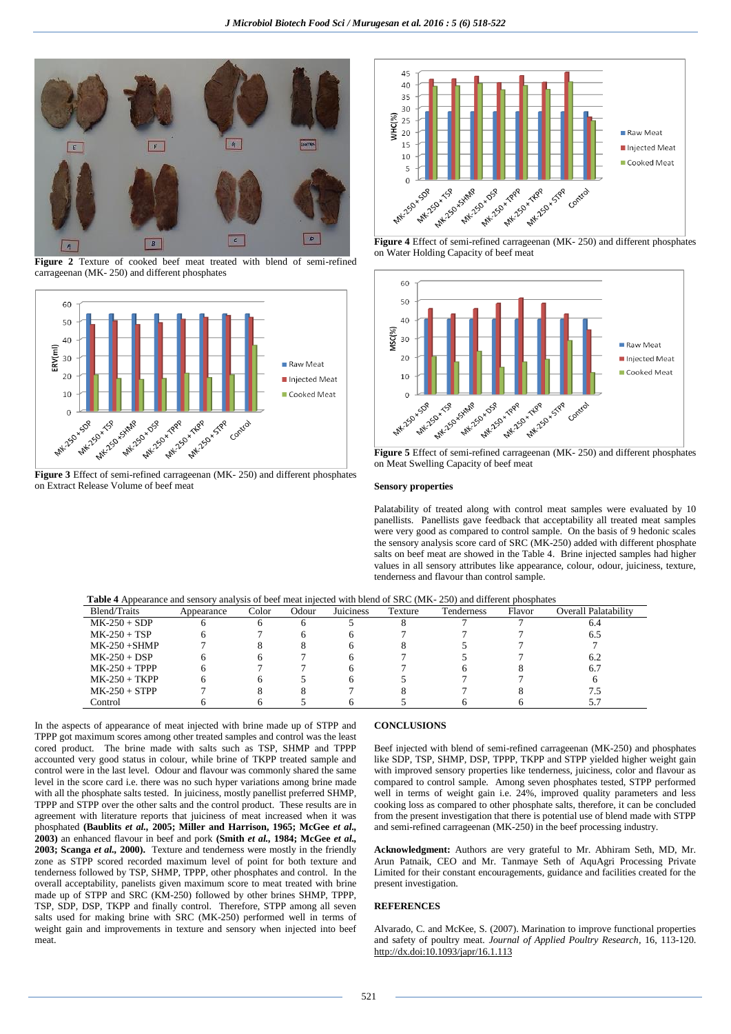

**Figure 2** Texture of cooked beef meat treated with blend of semi-refined carrageenan (MK- 250) and different phosphates



**Figure 3** Effect of semi-refined carrageenan (MK- 250) and different phosphates on Extract Release Volume of beef meat



**Figure 4** Effect of semi-refined carrageenan (MK- 250) and different phosphates on Water Holding Capacity of beef meat



**Figure 5** Effect of semi-refined carrageenan (MK- 250) and different phosphates on Meat Swelling Capacity of beef meat

#### **Sensory properties**

Palatability of treated along with control meat samples were evaluated by 10 panellists. Panellists gave feedback that acceptability all treated meat samples were very good as compared to control sample. On the basis of 9 hedonic scales the sensory analysis score card of SRC (MK-250) added with different phosphate salts on beef meat are showed in the Table 4. Brine injected samples had higher values in all sensory attributes like appearance, colour, odour, juiciness, texture, tenderness and flavour than control sample.

| <b>Table 4</b> Appearance and sensory analysis of beef meat injected with blend of SRC (MK-250) and different phosphates |            |       |       |           |         |            |        |                             |  |  |
|--------------------------------------------------------------------------------------------------------------------------|------------|-------|-------|-----------|---------|------------|--------|-----------------------------|--|--|
| Blend/Traits                                                                                                             | Appearance | Color | Odour | Juiciness | Texture | Tenderness | Flavor | <b>Overall Palatability</b> |  |  |
| $MK-250 + SDP$                                                                                                           |            |       |       |           |         |            |        | 6.4                         |  |  |
| $MK-250 + TSP$                                                                                                           |            |       |       |           |         |            |        | 6.5                         |  |  |
| $MK-250 + SHMP$                                                                                                          |            |       |       |           |         |            |        |                             |  |  |
| $MK-250 + DSP$                                                                                                           |            |       |       |           |         |            |        | 6.2                         |  |  |
| $MK-250 + TPPP$                                                                                                          |            |       |       |           |         |            |        | 6.7                         |  |  |
| $MK-250 + TKPP$                                                                                                          |            |       |       |           |         |            |        |                             |  |  |
| $MK-250 + STPP$                                                                                                          |            |       |       |           |         |            |        |                             |  |  |
| Control                                                                                                                  |            |       |       |           |         |            |        | 5.7                         |  |  |

In the aspects of appearance of meat injected with brine made up of STPP and TPPP got maximum scores among other treated samples and control was the least cored product. The brine made with salts such as TSP, SHMP and TPPP accounted very good status in colour, while brine of TKPP treated sample and control were in the last level. Odour and flavour was commonly shared the same level in the score card i.e. there was no such hyper variations among brine made with all the phosphate salts tested. In juiciness, mostly panellist preferred SHMP, TPPP and STPP over the other salts and the control product. These results are in agreement with literature reports that juiciness of meat increased when it was phosphated **(Baublits** *et al.,* **2005; Miller and Harrison, 1965; McGee** *et al.,* **2003)** an enhanced flavour in beef and pork **(Smith** *et al.,* **1984; McGee** *et al.,*  **2003; Scanga** *et al.,* **2000).** Texture and tenderness were mostly in the friendly zone as STPP scored recorded maximum level of point for both texture and tenderness followed by TSP, SHMP, TPPP, other phosphates and control. In the overall acceptability, panelists given maximum score to meat treated with brine made up of STPP and SRC (KM-250) followed by other brines SHMP, TPPP, TSP, SDP, DSP, TKPP and finally control. Therefore, STPP among all seven salts used for making brine with SRC (MK-250) performed well in terms of weight gain and improvements in texture and sensory when injected into beef meat.

## **CONCLUSIONS**

Beef injected with blend of semi-refined carrageenan (MK-250) and phosphates like SDP, TSP, SHMP, DSP, TPPP, TKPP and STPP yielded higher weight gain with improved sensory properties like tenderness, juiciness, color and flavour as compared to control sample. Among seven phosphates tested, STPP performed well in terms of weight gain i.e. 24%, improved quality parameters and less cooking loss as compared to other phosphate salts, therefore, it can be concluded from the present investigation that there is potential use of blend made with STPP and semi-refined carrageenan (MK-250) in the beef processing industry.

**Acknowledgment:** Authors are very grateful to Mr. Abhiram Seth, MD, Mr. Arun Patnaik, CEO and Mr. Tanmaye Seth of AquAgri Processing Private Limited for their constant encouragements, guidance and facilities created for the present investigation.

## **REFERENCES**

Alvarado, C. and McKee, S. (2007). Marination to improve functional properties and safety of poultry meat*. Journal of Applied Poultry Research*, 16, 113-120. http://dx.doi:10.1093/japr/16.1.113